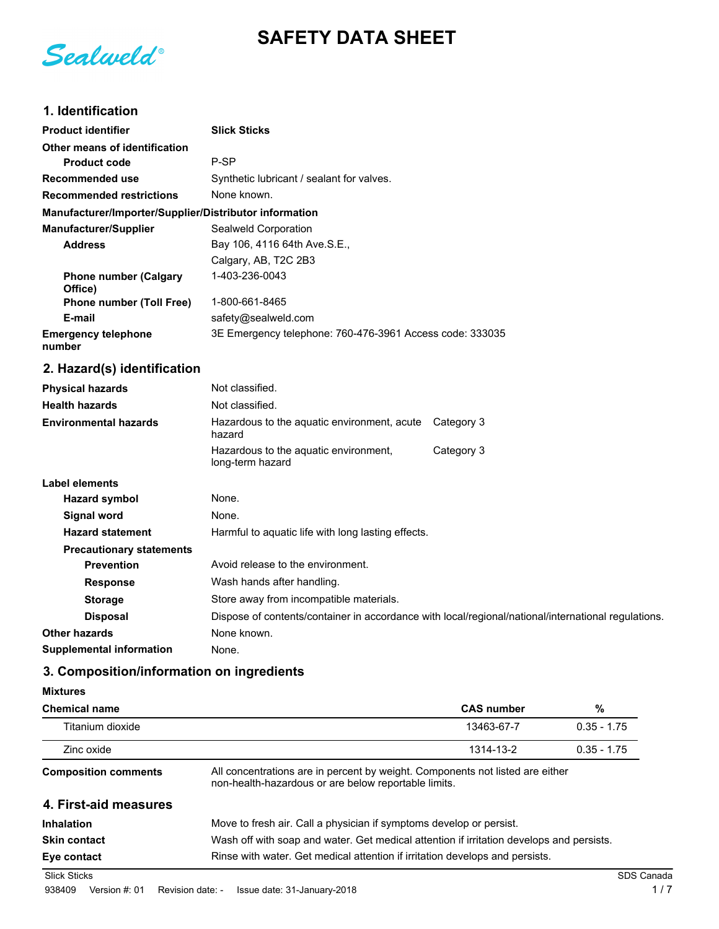**SAFETY DATA SHEET**

Sealweld®

# **1. Identification**

| <b>Product identifier</b>                              | <b>Slick Sticks</b>                                      |  |
|--------------------------------------------------------|----------------------------------------------------------|--|
| Other means of identification                          |                                                          |  |
| <b>Product code</b>                                    | P-SP                                                     |  |
| Recommended use                                        | Synthetic lubricant / sealant for valves.                |  |
| <b>Recommended restrictions</b>                        | None known.                                              |  |
| Manufacturer/Importer/Supplier/Distributor information |                                                          |  |
| <b>Manufacturer/Supplier</b>                           | Sealweld Corporation                                     |  |
| <b>Address</b>                                         | Bay 106, 4116 64th Ave. S.E.,                            |  |
|                                                        | Calgary, AB, T2C 2B3                                     |  |
| <b>Phone number (Calgary</b><br>Office)                | 1-403-236-0043                                           |  |
| <b>Phone number (Toll Free)</b>                        | 1-800-661-8465                                           |  |
| E-mail                                                 | safety@sealweld.com                                      |  |
| <b>Emergency telephone</b><br>number                   | 3E Emergency telephone: 760-476-3961 Access code: 333035 |  |

# **2. Hazard(s) identification**

| <b>Physical hazards</b>         | Not classified.                                                                                     |            |  |
|---------------------------------|-----------------------------------------------------------------------------------------------------|------------|--|
| <b>Health hazards</b>           | Not classified.                                                                                     |            |  |
| <b>Environmental hazards</b>    | Hazardous to the aquatic environment, acute<br>hazard                                               | Category 3 |  |
|                                 | Hazardous to the aquatic environment,<br>long-term hazard                                           | Category 3 |  |
| Label elements                  |                                                                                                     |            |  |
| <b>Hazard symbol</b>            | None.                                                                                               |            |  |
| Signal word                     | None.                                                                                               |            |  |
| <b>Hazard statement</b>         | Harmful to aquatic life with long lasting effects.                                                  |            |  |
| <b>Precautionary statements</b> |                                                                                                     |            |  |
| <b>Prevention</b>               | Avoid release to the environment.                                                                   |            |  |
| <b>Response</b>                 | Wash hands after handling.                                                                          |            |  |
| <b>Storage</b>                  | Store away from incompatible materials.                                                             |            |  |
| <b>Disposal</b>                 | Dispose of contents/container in accordance with local/regional/national/international regulations. |            |  |
| <b>Other hazards</b>            | None known.                                                                                         |            |  |
| <b>Supplemental information</b> | None.                                                                                               |            |  |

# **3. Composition/information on ingredients**

| <b>Mixtures</b> |
|-----------------|
|-----------------|

| <b>Chemical name</b>        |                                                                                                                                       | <b>CAS number</b> | %             |
|-----------------------------|---------------------------------------------------------------------------------------------------------------------------------------|-------------------|---------------|
| Titanium dioxide            |                                                                                                                                       | 13463-67-7        | $0.35 - 1.75$ |
| Zinc oxide                  |                                                                                                                                       | 1314-13-2         | $0.35 - 1.75$ |
| <b>Composition comments</b> | All concentrations are in percent by weight. Components not listed are either<br>non-health-hazardous or are below reportable limits. |                   |               |
| 4. First-aid measures       |                                                                                                                                       |                   |               |
| <b>Inhalation</b>           | Move to fresh air. Call a physician if symptoms develop or persist.                                                                   |                   |               |
| <b>Skin contact</b>         | Wash off with soap and water. Get medical attention if irritation develops and persists.                                              |                   |               |
| Eye contact                 | Rinse with water. Get medical attention if irritation develops and persists.                                                          |                   |               |
| <b>Slick Sticks</b>         |                                                                                                                                       |                   | SDS Canada    |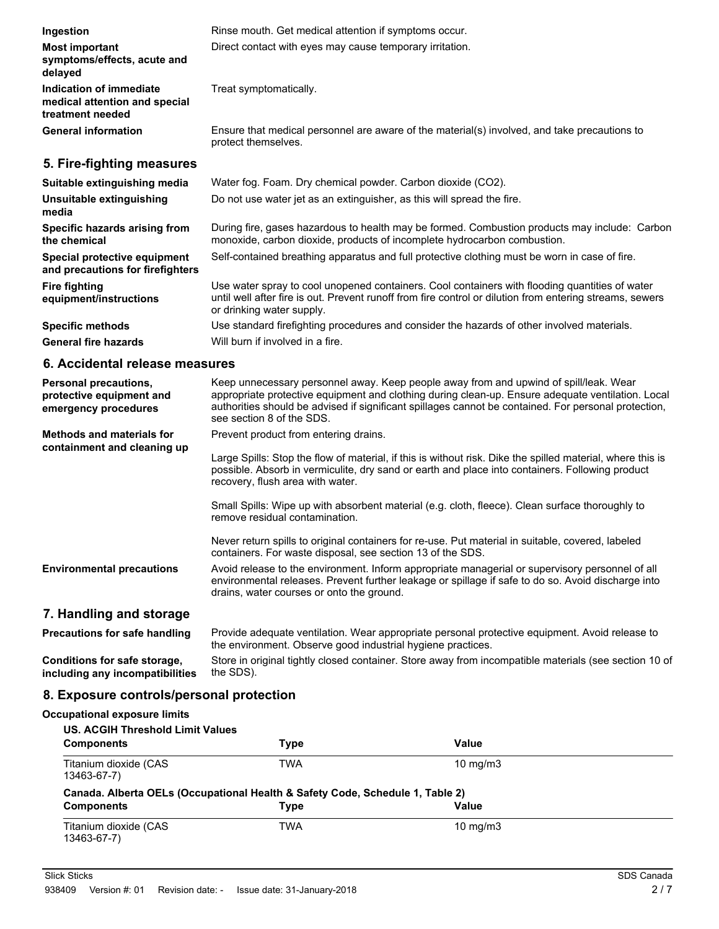| Ingestion                                                                    | Rinse mouth. Get medical attention if symptoms occur.                                                                                                                                                                                   |
|------------------------------------------------------------------------------|-----------------------------------------------------------------------------------------------------------------------------------------------------------------------------------------------------------------------------------------|
| <b>Most important</b><br>symptoms/effects, acute and<br>delayed              | Direct contact with eyes may cause temporary irritation.                                                                                                                                                                                |
| Indication of immediate<br>medical attention and special<br>treatment needed | Treat symptomatically.                                                                                                                                                                                                                  |
| <b>General information</b>                                                   | Ensure that medical personnel are aware of the material(s) involved, and take precautions to<br>protect themselves.                                                                                                                     |
| 5. Fire-fighting measures                                                    |                                                                                                                                                                                                                                         |
| Suitable extinguishing media                                                 | Water fog. Foam. Dry chemical powder. Carbon dioxide (CO2).                                                                                                                                                                             |
| Unsuitable extinguishing<br>media                                            | Do not use water jet as an extinguisher, as this will spread the fire.                                                                                                                                                                  |
| Specific hazards arising from<br>the chemical                                | During fire, gases hazardous to health may be formed. Combustion products may include: Carbon<br>monoxide, carbon dioxide, products of incomplete hydrocarbon combustion.                                                               |
| Special protective equipment<br>and precautions for firefighters             | Self-contained breathing apparatus and full protective clothing must be worn in case of fire.                                                                                                                                           |
| Fire fighting<br>equipment/instructions                                      | Use water spray to cool unopened containers. Cool containers with flooding quantities of water<br>until well after fire is out. Prevent runoff from fire control or dilution from entering streams, sewers<br>or drinking water supply. |
| <b>Specific methods</b>                                                      | Use standard firefighting procedures and consider the hazards of other involved materials.                                                                                                                                              |

**General fire hazards** Will burn if involved in a fire.

# **6. Accidental release measures**

| <b>Personal precautions,</b><br>protective equipment and<br>emergency procedures | Keep unnecessary personnel away. Keep people away from and upwind of spill/leak. Wear<br>appropriate protective equipment and clothing during clean-up. Ensure adequate ventilation. Local<br>authorities should be advised if significant spillages cannot be contained. For personal protection,<br>see section 8 of the SDS. |
|----------------------------------------------------------------------------------|---------------------------------------------------------------------------------------------------------------------------------------------------------------------------------------------------------------------------------------------------------------------------------------------------------------------------------|
| <b>Methods and materials for</b><br>containment and cleaning up                  | Prevent product from entering drains.<br>Large Spills: Stop the flow of material, if this is without risk. Dike the spilled material, where this is                                                                                                                                                                             |
|                                                                                  | possible. Absorb in vermiculite, dry sand or earth and place into containers. Following product<br>recovery, flush area with water.                                                                                                                                                                                             |
|                                                                                  | Small Spills: Wipe up with absorbent material (e.g. cloth, fleece). Clean surface thoroughly to<br>remove residual contamination.                                                                                                                                                                                               |
|                                                                                  | Never return spills to original containers for re-use. Put material in suitable, covered, labeled<br>containers. For waste disposal, see section 13 of the SDS.                                                                                                                                                                 |
| <b>Environmental precautions</b>                                                 | Avoid release to the environment. Inform appropriate managerial or supervisory personnel of all<br>environmental releases. Prevent further leakage or spillage if safe to do so. Avoid discharge into<br>drains, water courses or onto the ground.                                                                              |
| 7. Handling and storage                                                          |                                                                                                                                                                                                                                                                                                                                 |

#### Provide adequate ventilation. Wear appropriate personal protective equipment. Avoid release to the environment. Observe good industrial hygiene practices. **Precautions for safe handling** Store in original tightly closed container. Store away from incompatible materials (see section 10 of **Conditions for safe storage,**

the SDS). **including any incompatibilities**

## **8. Exposure controls/personal protection**

### **Occupational exposure limits**

| <b>US. ACGIH Threshold Limit Values</b>                                       |      |                   |  |
|-------------------------------------------------------------------------------|------|-------------------|--|
| <b>Components</b>                                                             | Type | Value             |  |
| Titanium dioxide (CAS<br>13463-67-7)                                          | TWA  | $10 \text{ mg/m}$ |  |
| Canada. Alberta OELs (Occupational Health & Safety Code, Schedule 1, Table 2) |      |                   |  |
| <b>Components</b>                                                             | Type | Value             |  |
| Titanium dioxide (CAS<br>13463-67-7)                                          | TWA  | $10 \text{ mg/m}$ |  |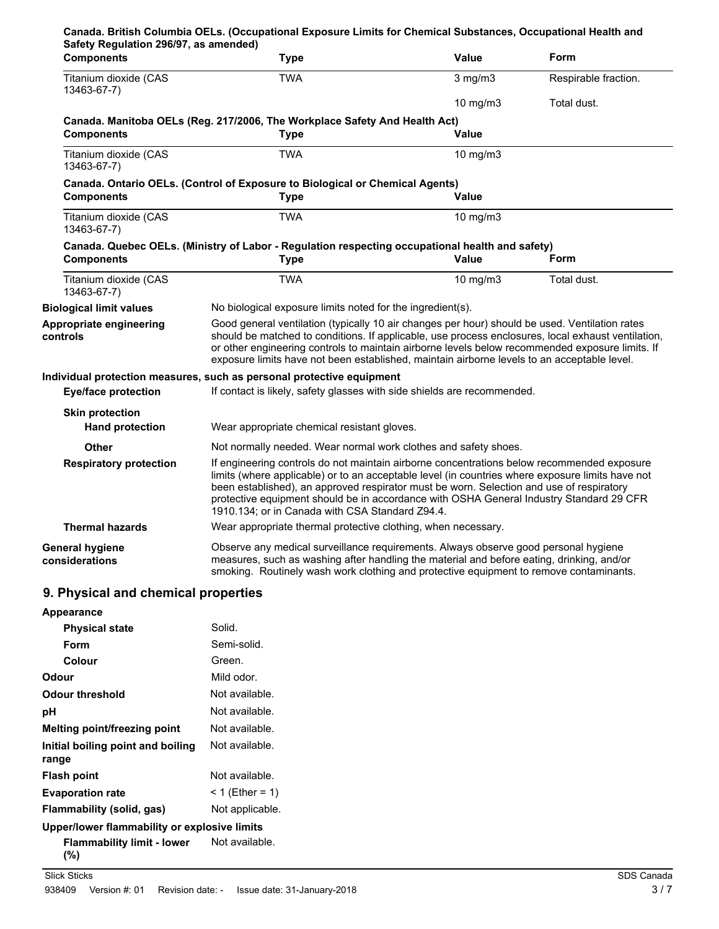| Safety Regulation 296/97, as amended)            | Canada. British Columbia OELs. (Occupational Exposure Limits for Chemical Substances, Occupational Health and                                                                                                                                                                                                                                                                                                                            |               |                      |
|--------------------------------------------------|------------------------------------------------------------------------------------------------------------------------------------------------------------------------------------------------------------------------------------------------------------------------------------------------------------------------------------------------------------------------------------------------------------------------------------------|---------------|----------------------|
| <b>Components</b>                                | <b>Type</b>                                                                                                                                                                                                                                                                                                                                                                                                                              | <b>Value</b>  | Form                 |
| Titanium dioxide (CAS<br>13463-67-7)             | <b>TWA</b>                                                                                                                                                                                                                                                                                                                                                                                                                               | $3$ mg/m $3$  | Respirable fraction. |
|                                                  |                                                                                                                                                                                                                                                                                                                                                                                                                                          | $10$ mg/m $3$ | Total dust.          |
| <b>Components</b>                                | Canada. Manitoba OELs (Reg. 217/2006, The Workplace Safety And Health Act)<br><b>Type</b>                                                                                                                                                                                                                                                                                                                                                | Value         |                      |
| Titanium dioxide (CAS<br>13463-67-7)             | <b>TWA</b>                                                                                                                                                                                                                                                                                                                                                                                                                               | 10 mg/m3      |                      |
| <b>Components</b>                                | Canada. Ontario OELs. (Control of Exposure to Biological or Chemical Agents)<br><b>Type</b>                                                                                                                                                                                                                                                                                                                                              | Value         |                      |
| Titanium dioxide (CAS<br>13463-67-7)             | <b>TWA</b>                                                                                                                                                                                                                                                                                                                                                                                                                               | 10 mg/m $3$   |                      |
| <b>Components</b>                                | Canada. Quebec OELs. (Ministry of Labor - Regulation respecting occupational health and safety)<br><b>Type</b>                                                                                                                                                                                                                                                                                                                           | Value         | <b>Form</b>          |
| Titanium dioxide (CAS<br>13463-67-7)             | <b>TWA</b>                                                                                                                                                                                                                                                                                                                                                                                                                               | 10 mg/m3      | Total dust.          |
| <b>Biological limit values</b>                   | No biological exposure limits noted for the ingredient(s).                                                                                                                                                                                                                                                                                                                                                                               |               |                      |
| Appropriate engineering<br>controls              | Good general ventilation (typically 10 air changes per hour) should be used. Ventilation rates<br>should be matched to conditions. If applicable, use process enclosures, local exhaust ventilation,<br>or other engineering controls to maintain airborne levels below recommended exposure limits. If<br>exposure limits have not been established, maintain airborne levels to an acceptable level.                                   |               |                      |
| <b>Eye/face protection</b>                       | Individual protection measures, such as personal protective equipment<br>If contact is likely, safety glasses with side shields are recommended.                                                                                                                                                                                                                                                                                         |               |                      |
| <b>Skin protection</b><br><b>Hand protection</b> | Wear appropriate chemical resistant gloves.                                                                                                                                                                                                                                                                                                                                                                                              |               |                      |
| Other                                            | Not normally needed. Wear normal work clothes and safety shoes.                                                                                                                                                                                                                                                                                                                                                                          |               |                      |
| <b>Respiratory protection</b>                    | If engineering controls do not maintain airborne concentrations below recommended exposure<br>limits (where applicable) or to an acceptable level (in countries where exposure limits have not<br>been established), an approved respirator must be worn. Selection and use of respiratory<br>protective equipment should be in accordance with OSHA General Industry Standard 29 CFR<br>1910.134; or in Canada with CSA Standard Z94.4. |               |                      |
| <b>Thermal hazards</b>                           | Wear appropriate thermal protective clothing, when necessary.                                                                                                                                                                                                                                                                                                                                                                            |               |                      |
| <b>General hygiene</b><br>considerations         | Observe any medical surveillance requirements. Always observe good personal hygiene<br>measures, such as washing after handling the material and before eating, drinking, and/or<br>smoking. Routinely wash work clothing and protective equipment to remove contaminants.                                                                                                                                                               |               |                      |
| 9. Physical and chemical properties              |                                                                                                                                                                                                                                                                                                                                                                                                                                          |               |                      |
| Appearance                                       |                                                                                                                                                                                                                                                                                                                                                                                                                                          |               |                      |
| <b>Physical state</b>                            | Solid.                                                                                                                                                                                                                                                                                                                                                                                                                                   |               |                      |
| Form                                             | Semi-solid.                                                                                                                                                                                                                                                                                                                                                                                                                              |               |                      |
| Colour                                           | Green.                                                                                                                                                                                                                                                                                                                                                                                                                                   |               |                      |
| Odour                                            | Mild odor.                                                                                                                                                                                                                                                                                                                                                                                                                               |               |                      |
| <b>Odour threshold</b>                           | Not available.                                                                                                                                                                                                                                                                                                                                                                                                                           |               |                      |
| pH                                               | Not available.                                                                                                                                                                                                                                                                                                                                                                                                                           |               |                      |

Not available.

Not available.

**Melting point/freezing point** Not available.

**Flash point** Not available. **Evaporation rate** < 1 (Ether = 1) **Flammability (solid, gas)** Not applicable. **Upper/lower flammability or explosive limits**

**Initial boiling point and boiling**

**Flammability limit - lower**

**range**

**(%)**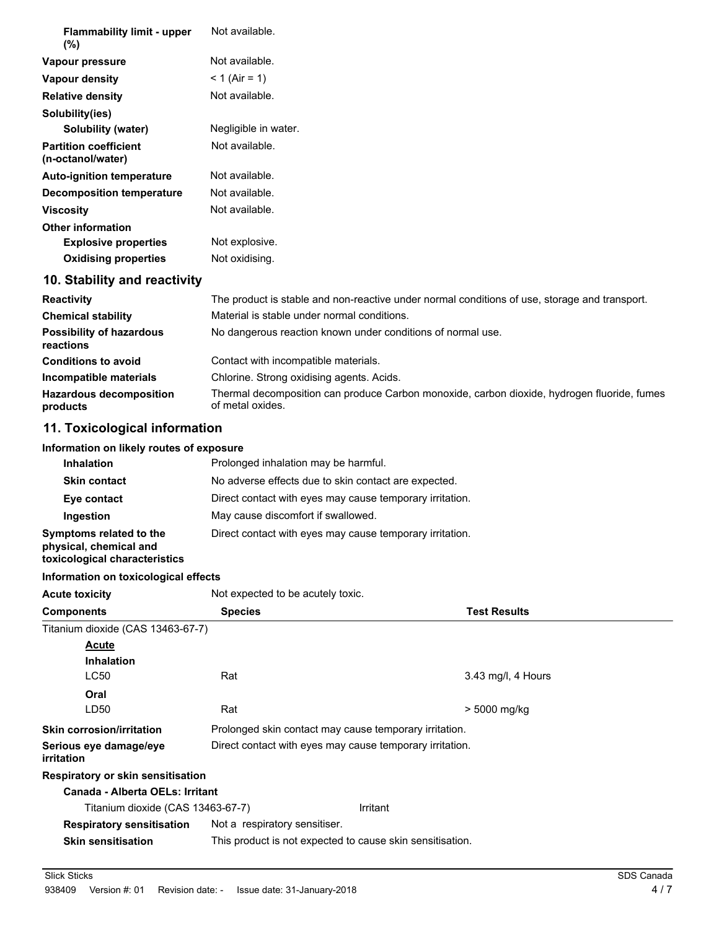| <b>Flammability limit - upper</b><br>$(\% )$      | Not available.       |
|---------------------------------------------------|----------------------|
| Vapour pressure                                   | Not available.       |
| Vapour density                                    | $< 1$ (Air = 1)      |
| <b>Relative density</b>                           | Not available.       |
| Solubility(ies)                                   |                      |
| <b>Solubility (water)</b>                         | Negligible in water. |
| <b>Partition coefficient</b><br>(n-octanol/water) | Not available.       |
| <b>Auto-ignition temperature</b>                  | Not available.       |
| Decomposition temperature                         | Not available.       |
| <b>Viscosity</b>                                  | Not available.       |
| <b>Other information</b>                          |                      |
| <b>Explosive properties</b>                       | Not explosive.       |
| <b>Oxidising properties</b>                       | Not oxidising.       |
|                                                   |                      |

# **10. Stability and reactivity**

| <b>Reactivity</b>                            | The product is stable and non-reactive under normal conditions of use, storage and transport.                   |
|----------------------------------------------|-----------------------------------------------------------------------------------------------------------------|
| <b>Chemical stability</b>                    | Material is stable under normal conditions.                                                                     |
| <b>Possibility of hazardous</b><br>reactions | No dangerous reaction known under conditions of normal use.                                                     |
| <b>Conditions to avoid</b>                   | Contact with incompatible materials.                                                                            |
| Incompatible materials                       | Chlorine. Strong oxidising agents. Acids.                                                                       |
| <b>Hazardous decomposition</b><br>products   | Thermal decomposition can produce Carbon monoxide, carbon dioxide, hydrogen fluoride, fumes<br>of metal oxides. |

# **11. Toxicological information**

#### **Information on likely routes of exposure**

| <b>Inhalation</b>                                                                  | Prolonged inhalation may be harmful.                     |  |  |
|------------------------------------------------------------------------------------|----------------------------------------------------------|--|--|
| <b>Skin contact</b>                                                                | No adverse effects due to skin contact are expected.     |  |  |
| Eye contact                                                                        | Direct contact with eyes may cause temporary irritation. |  |  |
| Ingestion                                                                          | May cause discomfort if swallowed.                       |  |  |
| Symptoms related to the<br>physical, chemical and<br>toxicological characteristics | Direct contact with eyes may cause temporary irritation. |  |  |

#### **Information on toxicological effects**

**Acute toxicity** Not expected to be acutely toxic.

| <b>Components</b>                           | <b>Species</b>                |                                                           | <b>Test Results</b> |  |
|---------------------------------------------|-------------------------------|-----------------------------------------------------------|---------------------|--|
| Titanium dioxide (CAS 13463-67-7)           |                               |                                                           |                     |  |
| Acute                                       |                               |                                                           |                     |  |
| <b>Inhalation</b>                           |                               |                                                           |                     |  |
| <b>LC50</b>                                 | Rat                           |                                                           | 3.43 mg/l, 4 Hours  |  |
| Oral                                        |                               |                                                           |                     |  |
| LD50                                        | Rat                           |                                                           | > 5000 mg/kg        |  |
| <b>Skin corrosion/irritation</b>            |                               | Prolonged skin contact may cause temporary irritation.    |                     |  |
| Serious eye damage/eye<br><i>irritation</i> |                               | Direct contact with eyes may cause temporary irritation.  |                     |  |
| <b>Respiratory or skin sensitisation</b>    |                               |                                                           |                     |  |
| Canada - Alberta OELs: Irritant             |                               |                                                           |                     |  |
| Titanium dioxide (CAS 13463-67-7)           |                               | Irritant                                                  |                     |  |
| <b>Respiratory sensitisation</b>            | Not a respiratory sensitiser. |                                                           |                     |  |
| <b>Skin sensitisation</b>                   |                               | This product is not expected to cause skin sensitisation. |                     |  |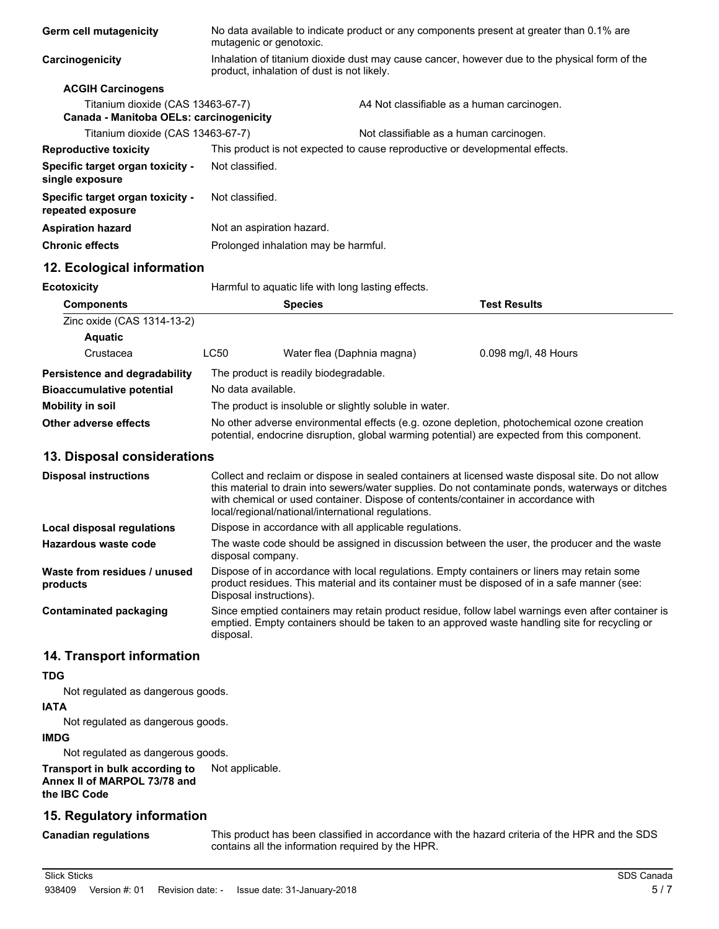| Germ cell mutagenicity                                                       | mutagenic or genotoxic.                                                                                                                     | No data available to indicate product or any components present at greater than 0.1% are |  |
|------------------------------------------------------------------------------|---------------------------------------------------------------------------------------------------------------------------------------------|------------------------------------------------------------------------------------------|--|
| Carcinogenicity                                                              | Inhalation of titanium dioxide dust may cause cancer, however due to the physical form of the<br>product, inhalation of dust is not likely. |                                                                                          |  |
| <b>ACGIH Carcinogens</b>                                                     |                                                                                                                                             |                                                                                          |  |
| Titanium dioxide (CAS 13463-67-7)<br>Canada - Manitoba OELs: carcinogenicity |                                                                                                                                             | A4 Not classifiable as a human carcinogen.                                               |  |
| Titanium dioxide (CAS 13463-67-7)                                            |                                                                                                                                             | Not classifiable as a human carcinogen.                                                  |  |
| <b>Reproductive toxicity</b>                                                 | This product is not expected to cause reproductive or developmental effects.                                                                |                                                                                          |  |
| Specific target organ toxicity -<br>single exposure                          | Not classified.                                                                                                                             |                                                                                          |  |
| Specific target organ toxicity -<br>repeated exposure                        | Not classified.                                                                                                                             |                                                                                          |  |
| <b>Aspiration hazard</b>                                                     | Not an aspiration hazard.                                                                                                                   |                                                                                          |  |
| <b>Chronic effects</b>                                                       | Prolonged inhalation may be harmful.                                                                                                        |                                                                                          |  |
|                                                                              |                                                                                                                                             |                                                                                          |  |

# **12. Ecological information**

**Ecotoxicity Harmful to aquatic life with long lasting effects.** 

| <b>Components</b>                |             | <b>Species</b>                                                                                                                                                                             | <b>Test Results</b>  |  |
|----------------------------------|-------------|--------------------------------------------------------------------------------------------------------------------------------------------------------------------------------------------|----------------------|--|
| Zinc oxide (CAS 1314-13-2)       |             |                                                                                                                                                                                            |                      |  |
| <b>Aquatic</b>                   |             |                                                                                                                                                                                            |                      |  |
| Crustacea                        | <b>LC50</b> | Water flea (Daphnia magna)                                                                                                                                                                 | 0.098 mg/l, 48 Hours |  |
| Persistence and degradability    |             | The product is readily biodegradable.                                                                                                                                                      |                      |  |
| <b>Bioaccumulative potential</b> |             | No data available.                                                                                                                                                                         |                      |  |
| <b>Mobility in soil</b>          |             | The product is insoluble or slightly soluble in water.                                                                                                                                     |                      |  |
| Other adverse effects            |             | No other adverse environmental effects (e.g. ozone depletion, photochemical ozone creation<br>potential, endocrine disruption, global warming potential) are expected from this component. |                      |  |

#### **13. Disposal considerations**

| <b>Disposal instructions</b>             | Collect and reclaim or dispose in sealed containers at licensed waste disposal site. Do not allow<br>this material to drain into sewers/water supplies. Do not contaminate ponds, waterways or ditches<br>with chemical or used container. Dispose of contents/container in accordance with<br>local/regional/national/international regulations. |
|------------------------------------------|---------------------------------------------------------------------------------------------------------------------------------------------------------------------------------------------------------------------------------------------------------------------------------------------------------------------------------------------------|
| Local disposal regulations               | Dispose in accordance with all applicable regulations.                                                                                                                                                                                                                                                                                            |
| Hazardous waste code                     | The waste code should be assigned in discussion between the user, the producer and the waste<br>disposal company.                                                                                                                                                                                                                                 |
| Waste from residues / unused<br>products | Dispose of in accordance with local regulations. Empty containers or liners may retain some<br>product residues. This material and its container must be disposed of in a safe manner (see:<br>Disposal instructions).                                                                                                                            |
| Contaminated packaging                   | Since emptied containers may retain product residue, follow label warnings even after container is<br>emptied. Empty containers should be taken to an approved waste handling site for recycling or<br>disposal.                                                                                                                                  |

#### **14. Transport information**

# **TDG**

Not regulated as dangerous goods.

# **IATA**

Not regulated as dangerous goods.

# **IMDG**

Not regulated as dangerous goods.

#### **Transport in bulk according to** Not applicable. **Annex II of MARPOL 73/78 and the IBC Code**

# **15. Regulatory information**

# **Canadian regulations**

This product has been classified in accordance with the hazard criteria of the HPR and the SDS contains all the information required by the HPR.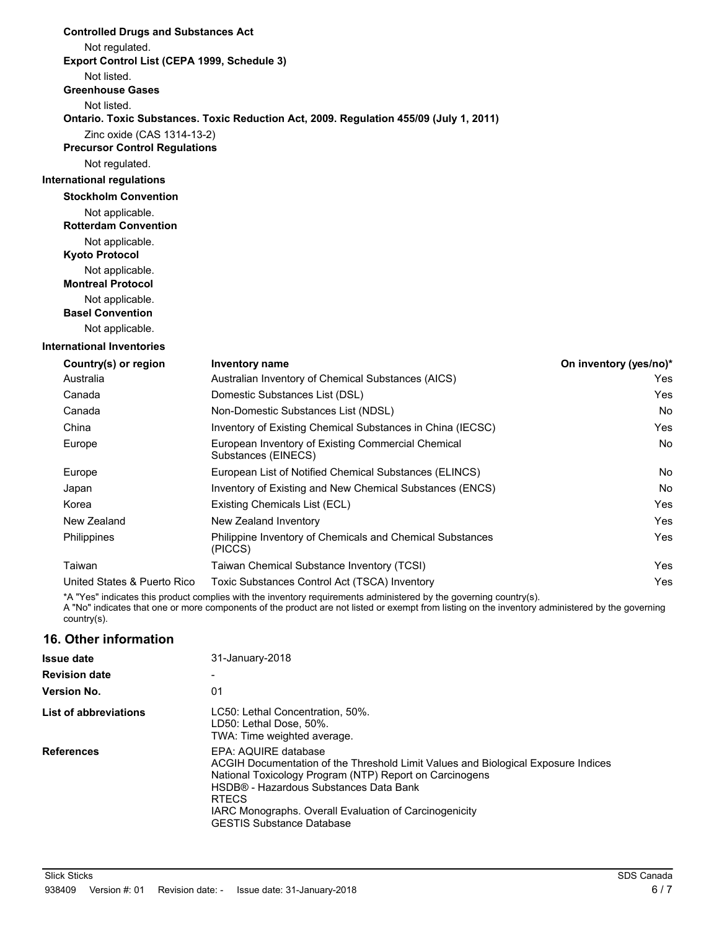| <b>Controlled Drugs and Substances Act</b>  |                                                                                                                                                                     |                        |  |  |
|---------------------------------------------|---------------------------------------------------------------------------------------------------------------------------------------------------------------------|------------------------|--|--|
| Not regulated.                              |                                                                                                                                                                     |                        |  |  |
| Export Control List (CEPA 1999, Schedule 3) |                                                                                                                                                                     |                        |  |  |
| Not listed.                                 |                                                                                                                                                                     |                        |  |  |
| <b>Greenhouse Gases</b>                     |                                                                                                                                                                     |                        |  |  |
| Not listed.                                 |                                                                                                                                                                     |                        |  |  |
|                                             | Ontario. Toxic Substances. Toxic Reduction Act, 2009. Regulation 455/09 (July 1, 2011)                                                                              |                        |  |  |
| Zinc oxide (CAS 1314-13-2)                  |                                                                                                                                                                     |                        |  |  |
| <b>Precursor Control Regulations</b>        |                                                                                                                                                                     |                        |  |  |
| Not regulated.                              |                                                                                                                                                                     |                        |  |  |
| <b>International regulations</b>            |                                                                                                                                                                     |                        |  |  |
| <b>Stockholm Convention</b>                 |                                                                                                                                                                     |                        |  |  |
| Not applicable.                             |                                                                                                                                                                     |                        |  |  |
| <b>Rotterdam Convention</b>                 |                                                                                                                                                                     |                        |  |  |
| Not applicable.                             |                                                                                                                                                                     |                        |  |  |
| <b>Kyoto Protocol</b>                       |                                                                                                                                                                     |                        |  |  |
| Not applicable.<br><b>Montreal Protocol</b> |                                                                                                                                                                     |                        |  |  |
| Not applicable.                             |                                                                                                                                                                     |                        |  |  |
| <b>Basel Convention</b>                     |                                                                                                                                                                     |                        |  |  |
| Not applicable.                             |                                                                                                                                                                     |                        |  |  |
| <b>International Inventories</b>            |                                                                                                                                                                     |                        |  |  |
| Country(s) or region                        | <b>Inventory name</b>                                                                                                                                               | On inventory (yes/no)* |  |  |
| Australia                                   | Australian Inventory of Chemical Substances (AICS)                                                                                                                  | Yes                    |  |  |
| Canada                                      | Domestic Substances List (DSL)                                                                                                                                      | Yes                    |  |  |
| Canada                                      | Non-Domestic Substances List (NDSL)                                                                                                                                 | No                     |  |  |
| China                                       | Inventory of Existing Chemical Substances in China (IECSC)                                                                                                          | Yes                    |  |  |
| Europe                                      | European Inventory of Existing Commercial Chemical<br>Substances (EINECS)                                                                                           | No                     |  |  |
| Europe                                      | European List of Notified Chemical Substances (ELINCS)                                                                                                              | No                     |  |  |
| Japan                                       | Inventory of Existing and New Chemical Substances (ENCS)                                                                                                            | No                     |  |  |
| Korea                                       | Existing Chemicals List (ECL)                                                                                                                                       | Yes                    |  |  |
| New Zealand                                 | New Zealand Inventory                                                                                                                                               | Yes                    |  |  |
| Philippines                                 | Philippine Inventory of Chemicals and Chemical Substances<br>(PICCS)                                                                                                | Yes                    |  |  |
| Taiwan                                      | Taiwan Chemical Substance Inventory (TCSI)                                                                                                                          | Yes                    |  |  |
| United States & Puerto Rico                 | Toxic Substances Control Act (TSCA) Inventory<br>*A "Yes" indicates this product complies with the inventory requirements administered by the governing country(s). | Yes                    |  |  |
|                                             |                                                                                                                                                                     |                        |  |  |

A "No" indicates that one or more components of the product are not listed or exempt from listing on the inventory administered by the governing country(s).

## **16. Other information**

| <b>Issue date</b>     | 31-January-2018                                                                                                                                                                                                                                                                                                              |  |
|-----------------------|------------------------------------------------------------------------------------------------------------------------------------------------------------------------------------------------------------------------------------------------------------------------------------------------------------------------------|--|
| <b>Revision date</b>  |                                                                                                                                                                                                                                                                                                                              |  |
| <b>Version No.</b>    | 01                                                                                                                                                                                                                                                                                                                           |  |
| List of abbreviations | LC50: Lethal Concentration, 50%.<br>LD50: Lethal Dose, 50%.<br>TWA: Time weighted average.                                                                                                                                                                                                                                   |  |
| <b>References</b>     | EPA: AQUIRE database<br>ACGIH Documentation of the Threshold Limit Values and Biological Exposure Indices<br>National Toxicology Program (NTP) Report on Carcinogens<br>HSDB® - Hazardous Substances Data Bank<br><b>RTECS</b><br>IARC Monographs. Overall Evaluation of Carcinogenicity<br><b>GESTIS Substance Database</b> |  |